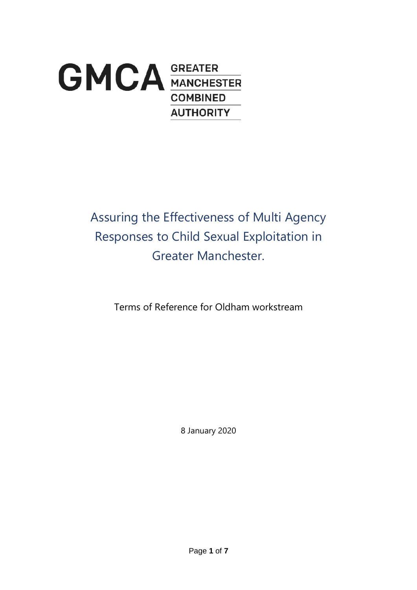

Assuring the Effectiveness of Multi Agency Responses to Child Sexual Exploitation in Greater Manchester.

Terms of Reference for Oldham workstream

8 January 2020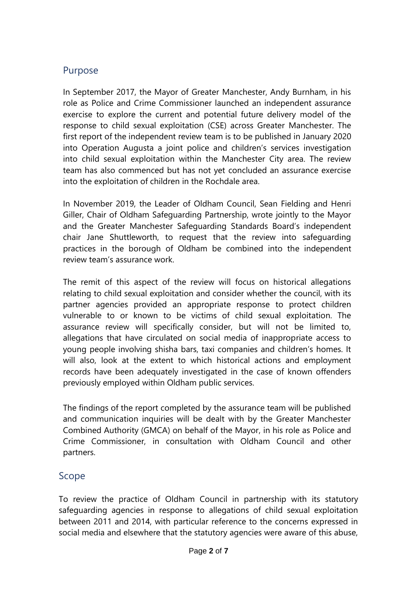# Purpose

In September 2017, the Mayor of Greater Manchester, Andy Burnham, in his role as Police and Crime Commissioner launched an independent assurance exercise to explore the current and potential future delivery model of the response to child sexual exploitation (CSE) across Greater Manchester. The first report of the independent review team is to be published in January 2020 into Operation Augusta a joint police and children's services investigation into child sexual exploitation within the Manchester City area. The review team has also commenced but has not yet concluded an assurance exercise into the exploitation of children in the Rochdale area.

In November 2019, the Leader of Oldham Council, Sean Fielding and Henri Giller, Chair of Oldham Safeguarding Partnership, wrote jointly to the Mayor and the Greater Manchester Safeguarding Standards Board's independent chair Jane Shuttleworth, to request that the review into safeguarding practices in the borough of Oldham be combined into the independent review team's assurance work.

The remit of this aspect of the review will focus on historical allegations relating to child sexual exploitation and consider whether the council, with its partner agencies provided an appropriate response to protect children vulnerable to or known to be victims of child sexual exploitation. The assurance review will specifically consider, but will not be limited to, allegations that have circulated on social media of inappropriate access to young people involving shisha bars, taxi companies and children's homes. It will also, look at the extent to which historical actions and employment records have been adequately investigated in the case of known offenders previously employed within Oldham public services.

The findings of the report completed by the assurance team will be published and communication inquiries will be dealt with by the Greater Manchester Combined Authority (GMCA) on behalf of the Mayor, in his role as Police and Crime Commissioner, in consultation with Oldham Council and other partners.

# Scope

To review the practice of Oldham Council in partnership with its statutory safeguarding agencies in response to allegations of child sexual exploitation between 2011 and 2014, with particular reference to the concerns expressed in social media and elsewhere that the statutory agencies were aware of this abuse,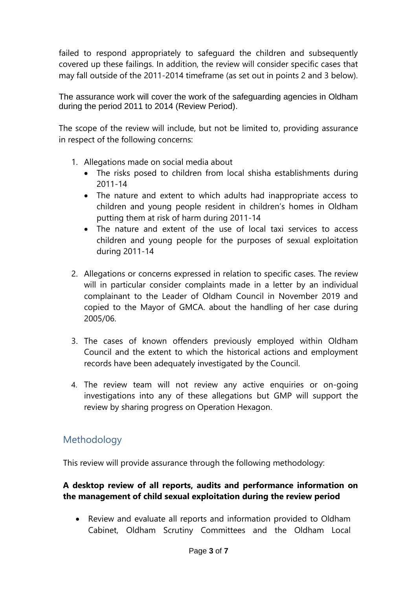failed to respond appropriately to safeguard the children and subsequently covered up these failings. In addition, the review will consider specific cases that may fall outside of the 2011-2014 timeframe (as set out in points 2 and 3 below).

The assurance work will cover the work of the safeguarding agencies in Oldham during the period 2011 to 2014 (Review Period).

The scope of the review will include, but not be limited to, providing assurance in respect of the following concerns:

- 1. Allegations made on social media about
	- The risks posed to children from local shisha establishments during 2011-14
	- The nature and extent to which adults had inappropriate access to children and young people resident in children's homes in Oldham putting them at risk of harm during 2011-14
	- The nature and extent of the use of local taxi services to access children and young people for the purposes of sexual exploitation during 2011-14
- 2. Allegations or concerns expressed in relation to specific cases. The review will in particular consider complaints made in a letter by an individual complainant to the Leader of Oldham Council in November 2019 and copied to the Mayor of GMCA. about the handling of her case during 2005/06.
- 3. The cases of known offenders previously employed within Oldham Council and the extent to which the historical actions and employment records have been adequately investigated by the Council.
- 4. The review team will not review any active enquiries or on-going investigations into any of these allegations but GMP will support the review by sharing progress on Operation Hexagon.

# Methodology

This review will provide assurance through the following methodology:

### **A desktop review of all reports, audits and performance information on the management of child sexual exploitation during the review period**

• Review and evaluate all reports and information provided to Oldham Cabinet, Oldham Scrutiny Committees and the Oldham Local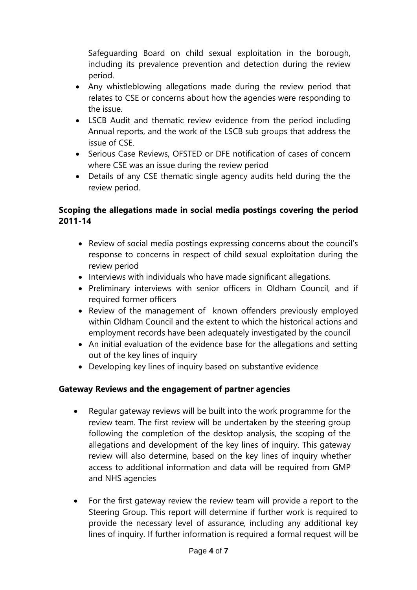Safeguarding Board on child sexual exploitation in the borough, including its prevalence prevention and detection during the review period.

- Any whistleblowing allegations made during the review period that relates to CSE or concerns about how the agencies were responding to the issue.
- LSCB Audit and thematic review evidence from the period including Annual reports, and the work of the LSCB sub groups that address the issue of CSE.
- Serious Case Reviews, OFSTED or DFE notification of cases of concern where CSE was an issue during the review period
- Details of any CSE thematic single agency audits held during the the review period.

### **Scoping the allegations made in social media postings covering the period 2011-14**

- Review of social media postings expressing concerns about the council's response to concerns in respect of child sexual exploitation during the review period
- Interviews with individuals who have made significant allegations.
- Preliminary interviews with senior officers in Oldham Council, and if required former officers
- Review of the management of known offenders previously employed within Oldham Council and the extent to which the historical actions and employment records have been adequately investigated by the council
- An initial evaluation of the evidence base for the allegations and setting out of the key lines of inquiry
- Developing key lines of inquiry based on substantive evidence

# **Gateway Reviews and the engagement of partner agencies**

- Regular gateway reviews will be built into the work programme for the review team. The first review will be undertaken by the steering group following the completion of the desktop analysis, the scoping of the allegations and development of the key lines of inquiry. This gateway review will also determine, based on the key lines of inquiry whether access to additional information and data will be required from GMP and NHS agencies
- For the first gateway review the review team will provide a report to the Steering Group. This report will determine if further work is required to provide the necessary level of assurance, including any additional key lines of inquiry. If further information is required a formal request will be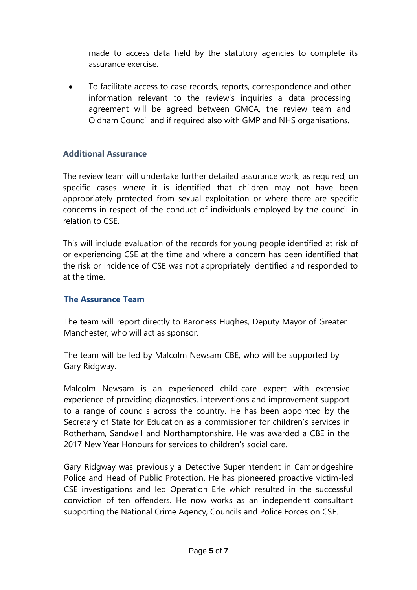made to access data held by the statutory agencies to complete its assurance exercise.

• To facilitate access to case records, reports, correspondence and other information relevant to the review's inquiries a data processing agreement will be agreed between GMCA, the review team and Oldham Council and if required also with GMP and NHS organisations.

#### **Additional Assurance**

The review team will undertake further detailed assurance work, as required, on specific cases where it is identified that children may not have been appropriately protected from sexual exploitation or where there are specific concerns in respect of the conduct of individuals employed by the council in relation to CSE.

This will include evaluation of the records for young people identified at risk of or experiencing CSE at the time and where a concern has been identified that the risk or incidence of CSE was not appropriately identified and responded to at the time.

#### **The Assurance Team**

The team will report directly to Baroness Hughes, Deputy Mayor of Greater Manchester, who will act as sponsor.

The team will be led by Malcolm Newsam CBE, who will be supported by Gary Ridgway.

Malcolm Newsam is an experienced child-care expert with extensive experience of providing diagnostics, interventions and improvement support to a range of councils across the country. He has been appointed by the Secretary of State for Education as a commissioner for children's services in Rotherham, Sandwell and Northamptonshire. He was awarded a CBE in the 2017 New Year Honours for services to children's social care.

Gary Ridgway was previously a Detective Superintendent in Cambridgeshire Police and Head of Public Protection. He has pioneered proactive victim-led CSE investigations and led Operation Erle which resulted in the successful conviction of ten offenders. He now works as an independent consultant supporting the National Crime Agency, Councils and Police Forces on CSE.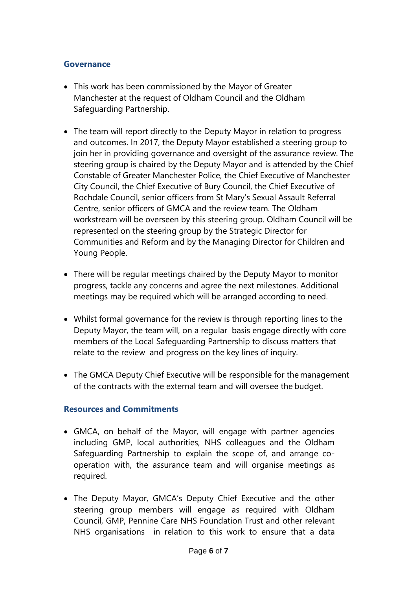#### **Governance**

- This work has been commissioned by the Mayor of Greater Manchester at the request of Oldham Council and the Oldham Safeguarding Partnership.
- The team will report directly to the Deputy Mayor in relation to progress and outcomes. In 2017, the Deputy Mayor established a steering group to join her in providing governance and oversight of the assurance review. The steering group is chaired by the Deputy Mayor and is attended by the Chief Constable of Greater Manchester Police, the Chief Executive of Manchester City Council, the Chief Executive of Bury Council, the Chief Executive of Rochdale Council, senior officers from St Mary's Sexual Assault Referral Centre, senior officers of GMCA and the review team. The Oldham workstream will be overseen by this steering group. Oldham Council will be represented on the steering group by the Strategic Director for Communities and Reform and by the Managing Director for Children and Young People.
- There will be regular meetings chaired by the Deputy Mayor to monitor progress, tackle any concerns and agree the next milestones. Additional meetings may be required which will be arranged according to need.
- Whilst formal governance for the review is through reporting lines to the Deputy Mayor, the team will, on a regular basis engage directly with core members of the Local Safeguarding Partnership to discuss matters that relate to the review and progress on the key lines of inquiry.
- The GMCA Deputy Chief Executive will be responsible for the management of the contracts with the external team and will oversee the budget.

### **Resources and Commitments**

- GMCA, on behalf of the Mayor, will engage with partner agencies including GMP, local authorities, NHS colleagues and the Oldham Safeguarding Partnership to explain the scope of, and arrange cooperation with, the assurance team and will organise meetings as required.
- The Deputy Mayor, GMCA's Deputy Chief Executive and the other steering group members will engage as required with Oldham Council, GMP, Pennine Care NHS Foundation Trust and other relevant NHS organisations in relation to this work to ensure that a data